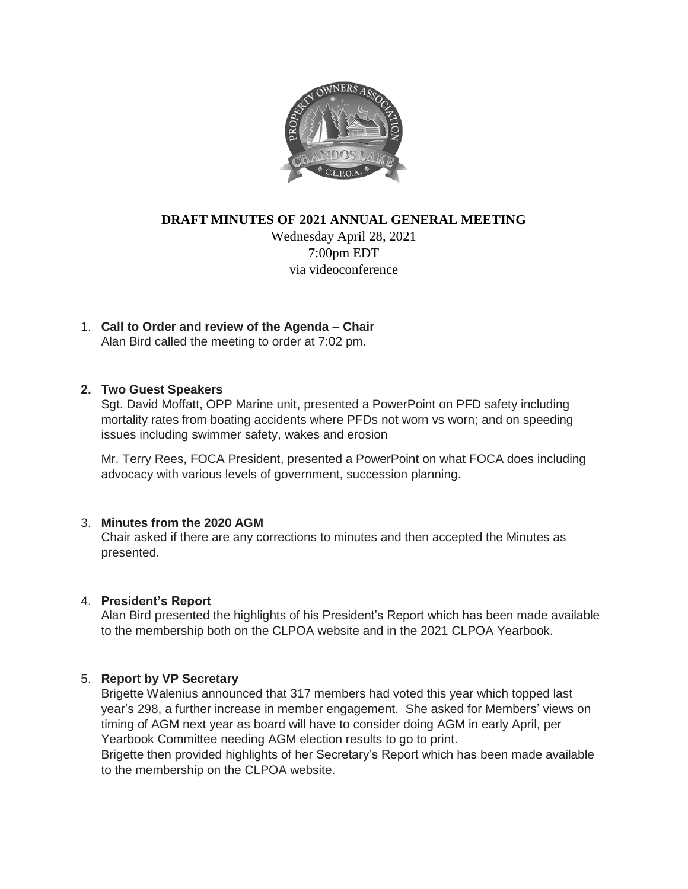

**DRAFT MINUTES OF 2021 ANNUAL GENERAL MEETING**

Wednesday April 28, 2021 7:00pm EDT via videoconference

1. **Call to Order and review of the Agenda – Chair**  Alan Bird called the meeting to order at 7:02 pm.

**2. Two Guest Speakers**

Sgt. David Moffatt, OPP Marine unit, presented a PowerPoint on PFD safety including mortality rates from boating accidents where PFDs not worn vs worn; and on speeding issues including swimmer safety, wakes and erosion

Mr. Terry Rees, FOCA President, presented a PowerPoint on what FOCA does including advocacy with various levels of government, succession planning.

#### 3. **Minutes from the 2020 AGM**

Chair asked if there are any corrections to minutes and then accepted the Minutes as presented.

# 4. **President's Report**

Alan Bird presented the highlights of his President's Report which has been made available to the membership both on the CLPOA website and in the 2021 CLPOA Yearbook.

# 5. **Report by VP Secretary**

Brigette Walenius announced that 317 members had voted this year which topped last year's 298, a further increase in member engagement. She asked for Members' views on timing of AGM next year as board will have to consider doing AGM in early April, per Yearbook Committee needing AGM election results to go to print.

Brigette then provided highlights of her Secretary's Report which has been made available to the membership on the CLPOA website.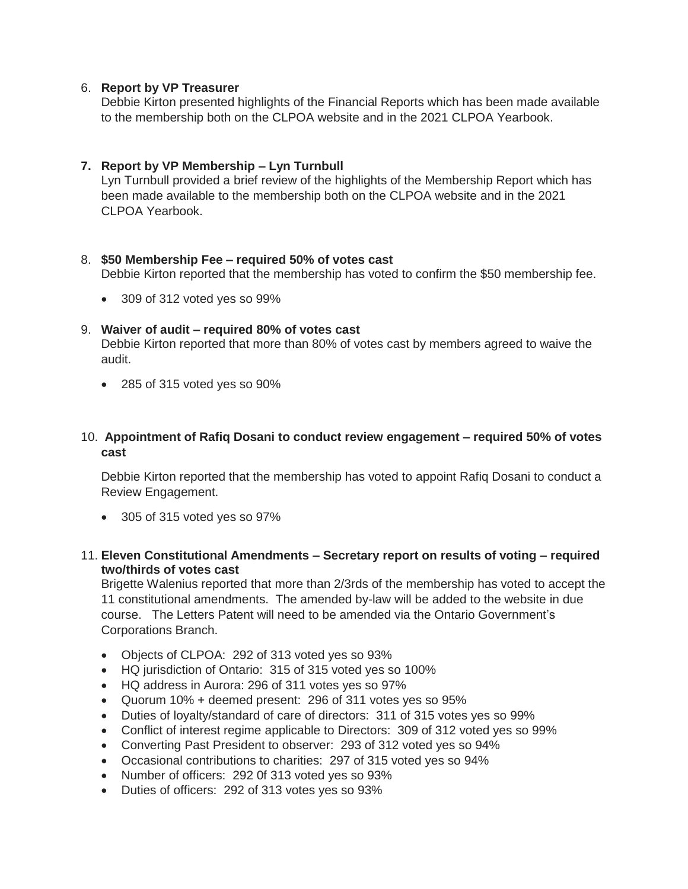#### 6. **Report by VP Treasurer**

Debbie Kirton presented highlights of the Financial Reports which has been made available to the membership both on the CLPOA website and in the 2021 CLPOA Yearbook.

### **7. Report by VP Membership – Lyn Turnbull**

Lyn Turnbull provided a brief review of the highlights of the Membership Report which has been made available to the membership both on the CLPOA website and in the 2021 CLPOA Yearbook.

#### 8. **\$50 Membership Fee – required 50% of votes cast**

Debbie Kirton reported that the membership has voted to confirm the \$50 membership fee.

309 of 312 voted yes so 99%

#### 9. **Waiver of audit – required 80% of votes cast**

Debbie Kirton reported that more than 80% of votes cast by members agreed to waive the audit.

285 of 315 voted yes so 90%

## 10. **Appointment of Rafiq Dosani to conduct review engagement – required 50% of votes cast**

Debbie Kirton reported that the membership has voted to appoint Rafiq Dosani to conduct a Review Engagement.

- 305 of 315 voted yes so 97%
- 11. **Eleven Constitutional Amendments – Secretary report on results of voting – required two/thirds of votes cast**

Brigette Walenius reported that more than 2/3rds of the membership has voted to accept the 11 constitutional amendments. The amended by-law will be added to the website in due course. The Letters Patent will need to be amended via the Ontario Government's Corporations Branch.

- Objects of CLPOA: 292 of 313 voted yes so 93%
- HQ jurisdiction of Ontario: 315 of 315 voted yes so 100%
- HQ address in Aurora: 296 of 311 votes yes so 97%
- Quorum 10% + deemed present: 296 of 311 votes yes so 95%
- Duties of loyalty/standard of care of directors: 311 of 315 votes yes so 99%
- Conflict of interest regime applicable to Directors: 309 of 312 voted yes so 99%
- Converting Past President to observer: 293 of 312 voted yes so 94%
- Occasional contributions to charities: 297 of 315 voted yes so 94%
- Number of officers: 292 0f 313 voted yes so 93%
- Duties of officers: 292 of 313 votes yes so 93%